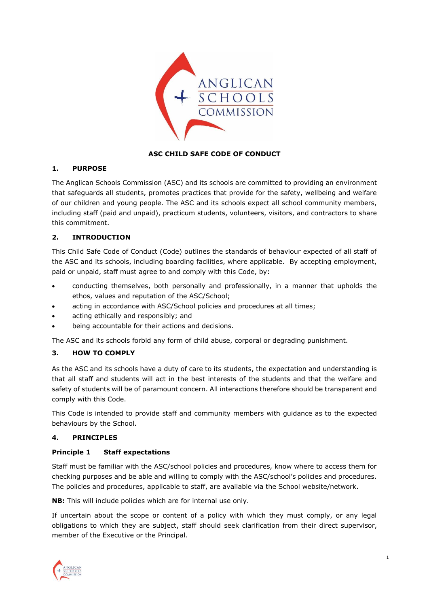

# **ASC CHILD SAFE CODE OF CONDUCT**

### **1. PURPOSE**

The Anglican Schools Commission (ASC) and its schools are committed to providing an environment that safeguards all students, promotes practices that provide for the safety, wellbeing and welfare of our children and young people. The ASC and its schools expect all school community members, including staff (paid and unpaid), practicum students, volunteers, visitors, and contractors to share this commitment.

### **2. INTRODUCTION**

This Child Safe Code of Conduct (Code) outlines the standards of behaviour expected of all staff of the ASC and its schools, including boarding facilities, where applicable. By accepting employment, paid or unpaid, staff must agree to and comply with this Code, by:

- conducting themselves, both personally and professionally, in a manner that upholds the ethos, values and reputation of the ASC/School;
- acting in accordance with ASC/School policies and procedures at all times;
- acting ethically and responsibly; and
- being accountable for their actions and decisions.

The ASC and its schools forbid any form of child abuse, corporal or degrading punishment.

#### **3. HOW TO COMPLY**

As the ASC and its schools have a duty of care to its students, the expectation and understanding is that all staff and students will act in the best interests of the students and that the welfare and safety of students will be of paramount concern. All interactions therefore should be transparent and comply with this Code.

This Code is intended to provide staff and community members with guidance as to the expected behaviours by the School.

#### **4. PRINCIPLES**

#### **Principle 1 Staff expectations**

Staff must be familiar with the ASC/school policies and procedures, know where to access them for checking purposes and be able and willing to comply with the ASC/school's policies and procedures. The policies and procedures, applicable to staff, are available via the School website/network.

**NB:** This will include policies which are for internal use only.

If uncertain about the scope or content of a policy with which they must comply, or any legal obligations to which they are subject, staff should seek clarification from their direct supervisor, member of the Executive or the Principal.

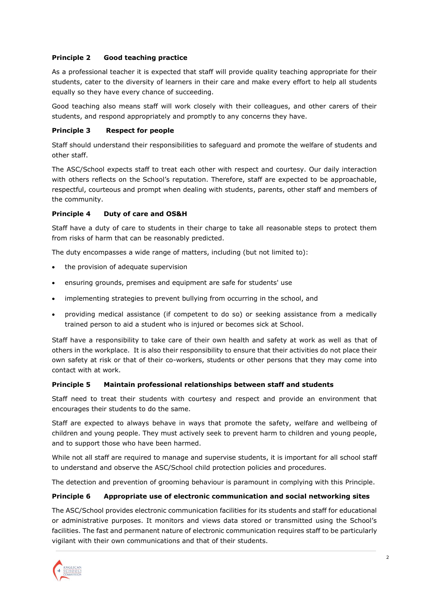## **Principle 2 Good teaching practice**

As a professional teacher it is expected that staff will provide quality teaching appropriate for their students, cater to the diversity of learners in their care and make every effort to help all students equally so they have every chance of succeeding.

Good teaching also means staff will work closely with their colleagues, and other carers of their students, and respond appropriately and promptly to any concerns they have.

## **Principle 3 Respect for people**

Staff should understand their responsibilities to safeguard and promote the welfare of students and other staff.

The ASC/School expects staff to treat each other with respect and courtesy. Our daily interaction with others reflects on the School's reputation. Therefore, staff are expected to be approachable, respectful, courteous and prompt when dealing with students, parents, other staff and members of the community.

## **Principle 4 Duty of care and OS&H**

Staff have a duty of care to students in their charge to take all reasonable steps to protect them from risks of harm that can be reasonably predicted.

The duty encompasses a wide range of matters, including (but not limited to):

- the provision of adequate supervision
- ensuring grounds, premises and equipment are safe for students' use
- implementing strategies to prevent bullying from occurring in the school, and
- providing medical assistance (if competent to do so) or seeking assistance from a medically trained person to aid a student who is injured or becomes sick at School.

Staff have a responsibility to take care of their own health and safety at work as well as that of others in the workplace. It is also their responsibility to ensure that their activities do not place their own safety at risk or that of their co-workers, students or other persons that they may come into contact with at work.

### **Principle 5 Maintain professional relationships between staff and students**

Staff need to treat their students with courtesy and respect and provide an environment that encourages their students to do the same.

Staff are expected to always behave in ways that promote the safety, welfare and wellbeing of children and young people. They must actively seek to prevent harm to children and young people, and to support those who have been harmed.

While not all staff are required to manage and supervise students, it is important for all school staff to understand and observe the ASC/School child protection policies and procedures.

The detection and prevention of grooming behaviour is paramount in complying with this Principle.

### **Principle 6 Appropriate use of electronic communication and social networking sites**

The ASC/School provides electronic communication facilities for its students and staff for educational or administrative purposes. It monitors and views data stored or transmitted using the School's facilities. The fast and permanent nature of electronic communication requires staff to be particularly vigilant with their own communications and that of their students.

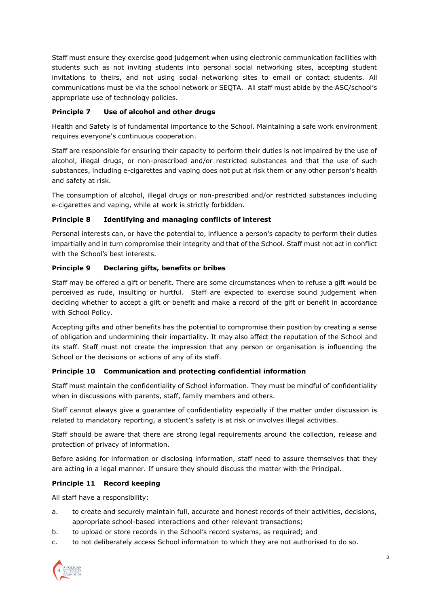Staff must ensure they exercise good judgement when using electronic communication facilities with students such as not inviting students into personal social networking sites, accepting student invitations to theirs, and not using social networking sites to email or contact students. All communications must be via the school network or SEQTA. All staff must abide by the ASC/school's appropriate use of technology policies.

## **Principle 7 Use of alcohol and other drugs**

Health and Safety is of fundamental importance to the School. Maintaining a safe work environment requires everyone's continuous cooperation.

Staff are responsible for ensuring their capacity to perform their duties is not impaired by the use of alcohol, illegal drugs, or non-prescribed and/or restricted substances and that the use of such substances, including e-cigarettes and vaping does not put at risk them or any other person's health and safety at risk.

The consumption of alcohol, illegal drugs or non-prescribed and/or restricted substances including e-cigarettes and vaping, while at work is strictly forbidden.

## **Principle 8 Identifying and managing conflicts of interest**

Personal interests can, or have the potential to, influence a person's capacity to perform their duties impartially and in turn compromise their integrity and that of the School. Staff must not act in conflict with the School's best interests.

## **Principle 9 Declaring gifts, benefits or bribes**

Staff may be offered a gift or benefit. There are some circumstances when to refuse a gift would be perceived as rude, insulting or hurtful. Staff are expected to exercise sound judgement when deciding whether to accept a gift or benefit and make a record of the gift or benefit in accordance with School Policy.

Accepting gifts and other benefits has the potential to compromise their position by creating a sense of obligation and undermining their impartiality. It may also affect the reputation of the School and its staff. Staff must not create the impression that any person or organisation is influencing the School or the decisions or actions of any of its staff.

### **Principle 10 Communication and protecting confidential information**

Staff must maintain the confidentiality of School information. They must be mindful of confidentiality when in discussions with parents, staff, family members and others.

Staff cannot always give a guarantee of confidentiality especially if the matter under discussion is related to mandatory reporting, a student's safety is at risk or involves illegal activities.

Staff should be aware that there are strong legal requirements around the collection, release and protection of privacy of information.

Before asking for information or disclosing information, staff need to assure themselves that they are acting in a legal manner. If unsure they should discuss the matter with the Principal.

### **Principle 11 Record keeping**

All staff have a responsibility:

- a. to create and securely maintain full, accurate and honest records of their activities, decisions, appropriate school-based interactions and other relevant transactions;
- b. to upload or store records in the School's record systems, as required; and
- c. to not deliberately access School information to which they are not authorised to do so.

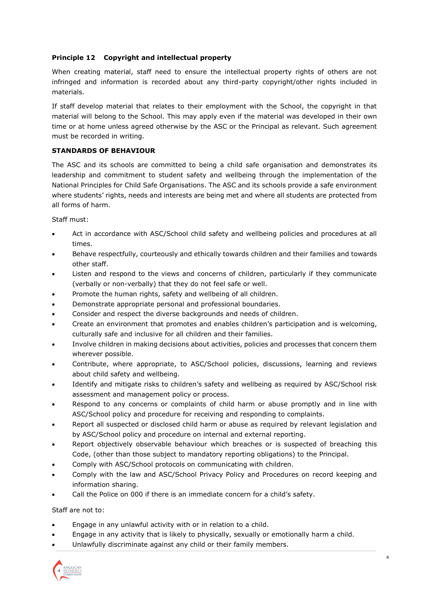## **Principle 12 Copyright and intellectual property**

When creating material, staff need to ensure the intellectual property rights of others are not infringed and information is recorded about any third-party copyright/other rights included in materials.

If staff develop material that relates to their employment with the School, the copyright in that material will belong to the School. This may apply even if the material was developed in their own time or at home unless agreed otherwise by the ASC or the Principal as relevant. Such agreement must be recorded in writing.

## **STANDARDS OF BEHAVIOUR**

The ASC and its schools are committed to being a child safe organisation and demonstrates its leadership and commitment to student safety and wellbeing through the implementation of the National Principles for Child Safe Organisations. The ASC and its schools provide a safe environment where students' rights, needs and interests are being met and where all students are protected from all forms of harm.

Staff must:

- Act in accordance with ASC/School child safety and wellbeing policies and procedures at all times.
- Behave respectfully, courteously and ethically towards children and their families and towards other staff.
- Listen and respond to the views and concerns of children, particularly if they communicate (verbally or non-verbally) that they do not feel safe or well.
- Promote the human rights, safety and wellbeing of all children.
- Demonstrate appropriate personal and professional boundaries.
- Consider and respect the diverse backgrounds and needs of children.
- Create an environment that promotes and enables children's participation and is welcoming, culturally safe and inclusive for all children and their families.
- Involve children in making decisions about activities, policies and processes that concern them wherever possible.
- Contribute, where appropriate, to ASC/School policies, discussions, learning and reviews about child safety and wellbeing.
- Identify and mitigate risks to children's safety and wellbeing as required by ASC/School risk assessment and management policy or process.
- Respond to any concerns or complaints of child harm or abuse promptly and in line with ASC/School policy and procedure for receiving and responding to complaints.
- Report all suspected or disclosed child harm or abuse as required by relevant legislation and by ASC/School policy and procedure on internal and external reporting.
- Report objectively observable behaviour which breaches or is suspected of breaching this Code, (other than those subject to mandatory reporting obligations) to the Principal.
- Comply with ASC/School protocols on communicating with children.
- Comply with the law and ASC/School Privacy Policy and Procedures on record keeping and information sharing.
- Call the Police on 000 if there is an immediate concern for a child's safety.

Staff are not to:

- Engage in any unlawful activity with or in relation to a child.
- Engage in any activity that is likely to physically, sexually or emotionally harm a child.
- Unlawfully discriminate against any child or their family members.